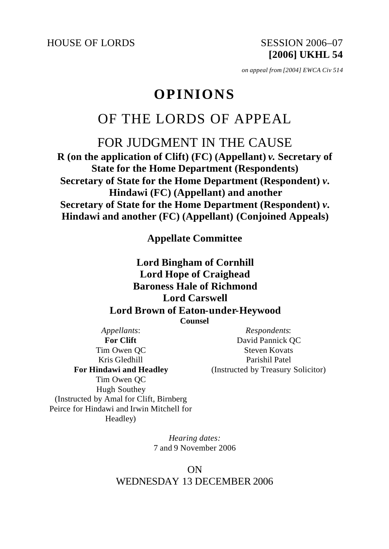HOUSE OF LORDS SESSION 2006–07

**[2006] UKHL 54**

*on appeal from [2004] EWCA Civ 514*

# **OPINIONS**

## OF THE LORDS OF APPEAL

FOR JUDGMENT IN THE CAUSE

**R (on the application of Clift) (FC) (Appellant)** *v.* **Secretary of State for the Home Department (Respondents) Secretary of State for the Home Department (Respondent)** *v.* **Hindawi (FC) (Appellant) and another Secretary of State for the Home Department (Respondent)** *v.* **Hindawi and another (FC) (Appellant) (Conjoined Appeals)**

**Appellate Committee**

## **Lord Bingham of Cornhill Lord Hope of Craighead Baroness Hale of Richmond Lord Carswell Lord Brown of Eaton-under-Heywood**

**Counsel**

*Appellants*: **For Clift** Tim Owen QC Kris Gledhill **For Hindawi and Headley** Tim Owen QC Hugh Southey (Instructed by Amal for Clift, Birnberg Peirce for Hindawi and Irwin Mitchell for Headley)

*Respondents*: David Pannick QC Steven Kovats Parishil Patel (Instructed by Treasury Solicitor)

*Hearing dates:* 7 and 9 November 2006

ON WEDNESDAY 13 DECEMBER 2006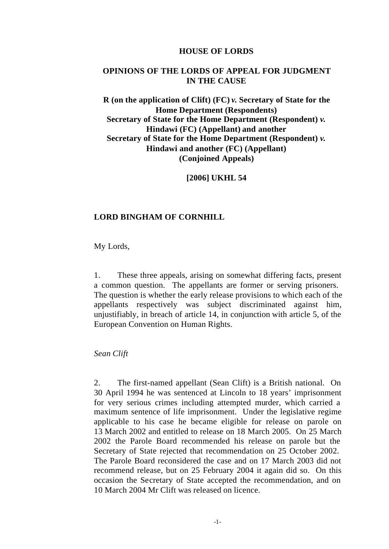#### **HOUSE OF LORDS**

## **OPINIONS OF THE LORDS OF APPEAL FOR JUDGMENT IN THE CAUSE**

## **R (on the application of Clift) (FC)** *v.* **Secretary of State for the Home Department (Respondents) Secretary of State for the Home Department (Respondent)** *v.* **Hindawi (FC) (Appellant) and another Secretary of State for the Home Department (Respondent)** *v.* **Hindawi and another (FC) (Appellant) (Conjoined Appeals)**

**[2006] UKHL 54**

## **LORD BINGHAM OF CORNHILL**

My Lords,

1. These three appeals, arising on somewhat differing facts, present a common question. The appellants are former or serving prisoners. The question is whether the early release provisions to which each of the appellants respectively was subject discriminated against him, unjustifiably, in breach of article 14, in conjunction with article 5, of the European Convention on Human Rights.

*Sean Clift*

2. The first-named appellant (Sean Clift) is a British national. On 30 April 1994 he was sentenced at Lincoln to 18 years' imprisonment for very serious crimes including attempted murder, which carried a maximum sentence of life imprisonment. Under the legislative regime applicable to his case he became eligible for release on parole on 13 March 2002 and entitled to release on 18 March 2005. On 25 March 2002 the Parole Board recommended his release on parole but the Secretary of State rejected that recommendation on 25 October 2002. The Parole Board reconsidered the case and on 17 March 2003 did not recommend release, but on 25 February 2004 it again did so. On this occasion the Secretary of State accepted the recommendation, and on 10 March 2004 Mr Clift was released on licence.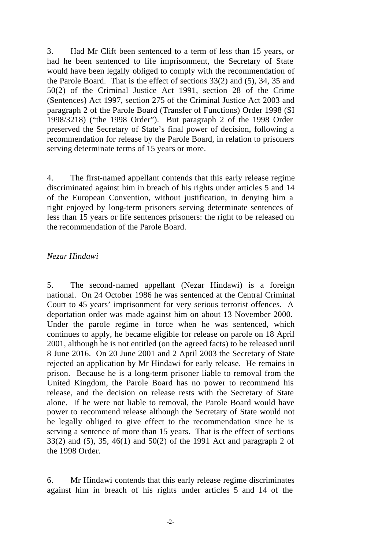3. Had Mr Clift been sentenced to a term of less than 15 years, or had he been sentenced to life imprisonment, the Secretary of State would have been legally obliged to comply with the recommendation of the Parole Board. That is the effect of sections 33(2) and (5), 34, 35 and 50(2) of the Criminal Justice Act 1991, section 28 of the Crime (Sentences) Act 1997, section 275 of the Criminal Justice Act 2003 and paragraph 2 of the Parole Board (Transfer of Functions) Order 1998 (SI 1998/3218) ("the 1998 Order"). But paragraph 2 of the 1998 Order preserved the Secretary of State's final power of decision, following a recommendation for release by the Parole Board, in relation to prisoners serving determinate terms of 15 years or more.

4. The first-named appellant contends that this early release regime discriminated against him in breach of his rights under articles 5 and 14 of the European Convention, without justification, in denying him a right enjoyed by long-term prisoners serving determinate sentences of less than 15 years or life sentences prisoners: the right to be released on the recommendation of the Parole Board.

#### *Nezar Hindawi*

5. The second-named appellant (Nezar Hindawi) is a foreign national. On 24 October 1986 he was sentenced at the Central Criminal Court to 45 years' imprisonment for very serious terrorist offences. A deportation order was made against him on about 13 November 2000. Under the parole regime in force when he was sentenced, which continues to apply, he became eligible for release on parole on 18 April 2001, although he is not entitled (on the agreed facts) to be released until 8 June 2016. On 20 June 2001 and 2 April 2003 the Secretary of State rejected an application by Mr Hindawi for early release. He remains in prison. Because he is a long-term prisoner liable to removal from the United Kingdom, the Parole Board has no power to recommend his release, and the decision on release rests with the Secretary of State alone. If he were not liable to removal, the Parole Board would have power to recommend release although the Secretary of State would not be legally obliged to give effect to the recommendation since he is serving a sentence of more than 15 years. That is the effect of sections 33(2) and (5), 35, 46(1) and 50(2) of the 1991 Act and paragraph 2 of the 1998 Order.

6. Mr Hindawi contends that this early release regime discriminates against him in breach of his rights under articles 5 and 14 of the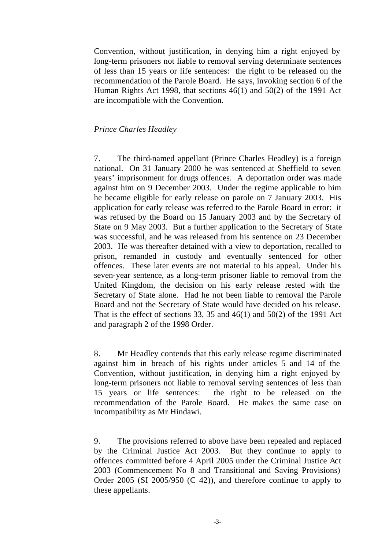Convention, without justification, in denying him a right enjoyed by long-term prisoners not liable to removal serving determinate sentences of less than 15 years or life sentences: the right to be released on the recommendation of the Parole Board. He says, invoking section 6 of the Human Rights Act 1998, that sections 46(1) and 50(2) of the 1991 Act are incompatible with the Convention.

#### *Prince Charles Headley*

7. The third-named appellant (Prince Charles Headley) is a foreign national. On 31 January 2000 he was sentenced at Sheffield to seven years' imprisonment for drugs offences. A deportation order was made against him on 9 December 2003. Under the regime applicable to him he became eligible for early release on parole on 7 January 2003. His application for early release was referred to the Parole Board in error: it was refused by the Board on 15 January 2003 and by the Secretary of State on 9 May 2003. But a further application to the Secretary of State was successful, and he was released from his sentence on 23 December 2003. He was thereafter detained with a view to deportation, recalled to prison, remanded in custody and eventually sentenced for other offences. These later events are not material to his appeal. Under his seven-year sentence, as a long-term prisoner liable to removal from the United Kingdom, the decision on his early release rested with the Secretary of State alone. Had he not been liable to removal the Parole Board and not the Secretary of State would have decided on his release. That is the effect of sections 33, 35 and  $46(1)$  and  $50(2)$  of the 1991 Act and paragraph 2 of the 1998 Order.

8. Mr Headley contends that this early release regime discriminated against him in breach of his rights under articles 5 and 14 of the Convention, without justification, in denying him a right enjoyed by long-term prisoners not liable to removal serving sentences of less than 15 years or life sentences: the right to be released on the recommendation of the Parole Board. He makes the same case on incompatibility as Mr Hindawi.

9. The provisions referred to above have been repealed and replaced by the Criminal Justice Act 2003. But they continue to apply to offences committed before 4 April 2005 under the Criminal Justice Act 2003 (Commencement No 8 and Transitional and Saving Provisions) Order 2005 (SI 2005/950 (C 42)), and therefore continue to apply to these appellants.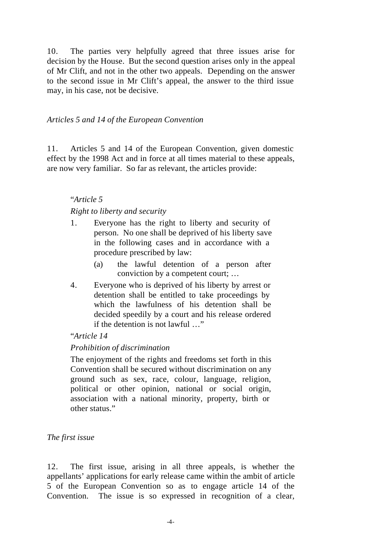10. The parties very helpfully agreed that three issues arise for decision by the House. But the second question arises only in the appeal of Mr Clift, and not in the other two appeals. Depending on the answer to the second issue in Mr Clift's appeal, the answer to the third issue may, in his case, not be decisive.

## *Articles 5 and 14 of the European Convention*

11. Articles 5 and 14 of the European Convention, given domestic effect by the 1998 Act and in force at all times material to these appeals, are now very familiar. So far as relevant, the articles provide:

#### "*Article 5*

#### *Right to liberty and security*

- 1. Everyone has the right to liberty and security of person. No one shall be deprived of his liberty save in the following cases and in accordance with a procedure prescribed by law:
	- (a) the lawful detention of a person after conviction by a competent court; …
- 4. Everyone who is deprived of his liberty by arrest or detention shall be entitled to take proceedings by which the lawfulness of his detention shall be decided speedily by a court and his release ordered if the detention is not lawful …"

#### "*Article 14*

## *Prohibition of discrimination*

The enjoyment of the rights and freedoms set forth in this Convention shall be secured without discrimination on any ground such as sex, race, colour, language, religion, political or other opinion, national or social origin, association with a national minority, property, birth or other status."

#### *The first issue*

12. The first issue, arising in all three appeals, is whether the appellants' applications for early release came within the ambit of article 5 of the European Convention so as to engage article 14 of the Convention. The issue is so expressed in recognition of a clear,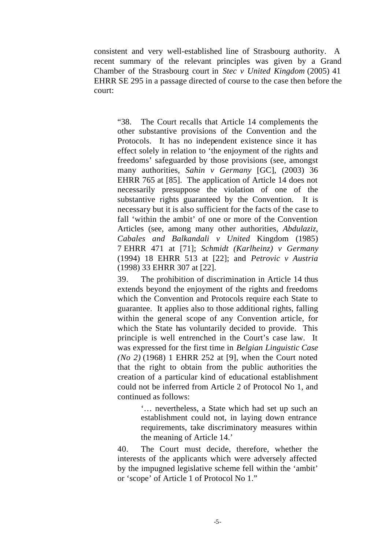consistent and very well-established line of Strasbourg authority. A recent summary of the relevant principles was given by a Grand Chamber of the Strasbourg court in *Stec v United Kingdom* (2005) 41 EHRR SE 295 in a passage directed of course to the case then before the court:

"38. The Court recalls that Article 14 complements the other substantive provisions of the Convention and the Protocols. It has no independent existence since it has effect solely in relation to 'the enjoyment of the rights and freedoms' safeguarded by those provisions (see, amongst many authorities, *Sahin v Germany* [GC], (2003) 36 EHRR 765 at [85]. The application of Article 14 does not necessarily presuppose the violation of one of the substantive rights guaranteed by the Convention. It is necessary but it is also sufficient for the facts of the case to fall 'within the ambit' of one or more of the Convention Articles (see, among many other authorities, *Abdulaziz, Cabales and Balkandali v United* Kingdom (1985) 7 EHRR 471 at [71]; *Schmidt (Karlheinz) v Germany* (1994) 18 EHRR 513 at [22]; and *Petrovic v Austria* (1998) 33 EHRR 307 at [22].

39. The prohibition of discrimination in Article 14 thus extends beyond the enjoyment of the rights and freedoms which the Convention and Protocols require each State to guarantee. It applies also to those additional rights, falling within the general scope of any Convention article, for which the State has voluntarily decided to provide. This principle is well entrenched in the Court's case law. It was expressed for the first time in *Belgian Linguistic Case (No 2)* (1968) 1 EHRR 252 at [9], when the Court noted that the right to obtain from the public authorities the creation of a particular kind of educational establishment could not be inferred from Article 2 of Protocol No 1, and continued as follows:

> '… nevertheless, a State which had set up such an establishment could not, in laying down entrance requirements, take discriminatory measures within the meaning of Article 14.'

40. The Court must decide, therefore, whether the interests of the applicants which were adversely affected by the impugned legislative scheme fell within the 'ambit' or 'scope' of Article 1 of Protocol No 1."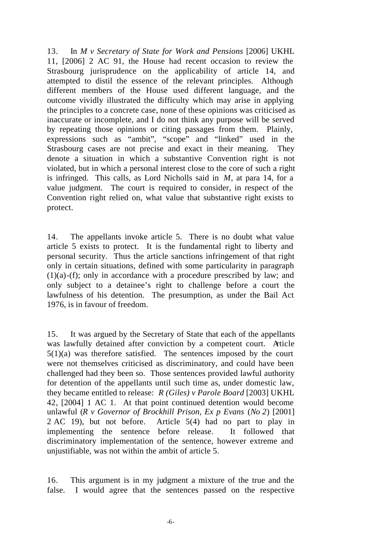13. In *M v Secretary of State for Work and Pensions* [2006] UKHL 11, [2006] 2 AC 91, the House had recent occasion to review the Strasbourg jurisprudence on the applicability of article 14, and attempted to distil the essence of the relevant principles. Although different members of the House used different language, and the outcome vividly illustrated the difficulty which may arise in applying the principles to a concrete case, none of these opinions was criticised as inaccurate or incomplete, and I do not think any purpose will be served by repeating those opinions or citing passages from them. Plainly, expressions such as "ambit", "scope" and "linked" used in the Strasbourg cases are not precise and exact in their meaning. They denote a situation in which a substantive Convention right is not violated, but in which a personal interest close to the core of such a right is infringed. This calls, as Lord Nicholls said in *M*, at para 14, for a value judgment. The court is required to consider, in respect of the Convention right relied on, what value that substantive right exists to protect.

14. The appellants invoke article 5. There is no doubt what value article 5 exists to protect. It is the fundamental right to liberty and personal security. Thus the article sanctions infringement of that right only in certain situations, defined with some particularity in paragraph (1)(a)-(f); only in accordance with a procedure prescribed by law; and only subject to a detainee's right to challenge before a court the lawfulness of his detention. The presumption, as under the Bail Act 1976, is in favour of freedom.

15. It was argued by the Secretary of State that each of the appellants was lawfully detained after conviction by a competent court. Article 5(1)(a) was therefore satisfied. The sentences imposed by the court were not themselves criticised as discriminatory, and could have been challenged had they been so. Those sentences provided lawful authority for detention of the appellants until such time as, under domestic law, they became entitled to release: *R (Giles) v Parole Board* [2003] UKHL 42, [2004] 1 AC 1. At that point continued detention would become unlawful (*R v Governor of Brockhill Prison, Ex p Evans* (*No 2*) [2001] 2 AC 19), but not before. Article 5(4) had no part to play in implementing the sentence before release. It followed that discriminatory implementation of the sentence, however extreme and unjustifiable, was not within the ambit of article 5.

16. This argument is in my judgment a mixture of the true and the false. I would agree that the sentences passed on the respective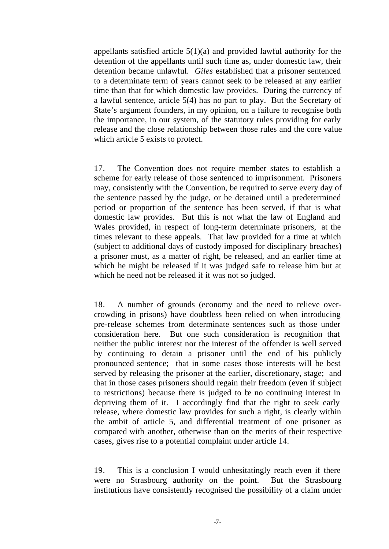appellants satisfied article  $5(1)(a)$  and provided lawful authority for the detention of the appellants until such time as, under domestic law, their detention became unlawful. *Giles* established that a prisoner sentenced to a determinate term of years cannot seek to be released at any earlier time than that for which domestic law provides. During the currency of a lawful sentence, article 5(4) has no part to play. But the Secretary of State's argument founders, in my opinion, on a failure to recognise both the importance, in our system, of the statutory rules providing for early release and the close relationship between those rules and the core value which article 5 exists to protect.

17. The Convention does not require member states to establish a scheme for early release of those sentenced to imprisonment. Prisoners may, consistently with the Convention, be required to serve every day of the sentence passed by the judge, or be detained until a predetermined period or proportion of the sentence has been served, if that is what domestic law provides. But this is not what the law of England and Wales provided, in respect of long-term determinate prisoners, at the times relevant to these appeals. That law provided for a time at which (subject to additional days of custody imposed for disciplinary breaches) a prisoner must, as a matter of right, be released, and an earlier time at which he might be released if it was judged safe to release him but at which he need not be released if it was not so judged.

18. A number of grounds (economy and the need to relieve overcrowding in prisons) have doubtless been relied on when introducing pre-release schemes from determinate sentences such as those under consideration here. But one such consideration is recognition that neither the public interest nor the interest of the offender is well served by continuing to detain a prisoner until the end of his publicly pronounced sentence; that in some cases those interests will be best served by releasing the prisoner at the earlier, discretionary, stage; and that in those cases prisoners should regain their freedom (even if subject to restrictions) because there is judged to be no continuing interest in depriving them of it. I accordingly find that the right to seek early release, where domestic law provides for such a right, is clearly within the ambit of article 5, and differential treatment of one prisoner as compared with another, otherwise than on the merits of their respective cases, gives rise to a potential complaint under article 14.

19. This is a conclusion I would unhesitatingly reach even if there were no Strasbourg authority on the point. But the Strasbourg institutions have consistently recognised the possibility of a claim under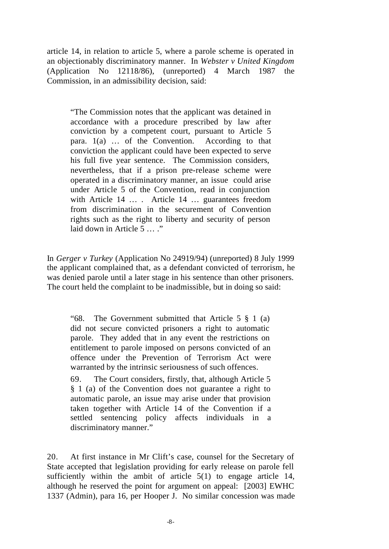article 14, in relation to article 5, where a parole scheme is operated in an objectionably discriminatory manner. In *Webster v United Kingdom*  (Application No 12118/86), (unreported) 4 March 1987 the Commission, in an admissibility decision, said:

"The Commission notes that the applicant was detained in accordance with a procedure prescribed by law after conviction by a competent court, pursuant to Article 5 para. 1(a) … of the Convention. According to that conviction the applicant could have been expected to serve his full five year sentence. The Commission considers, nevertheless, that if a prison pre-release scheme were operated in a discriminatory manner, an issue could arise under Article 5 of the Convention, read in conjunction with Article 14 ... . Article 14 ... guarantees freedom from discrimination in the securement of Convention rights such as the right to liberty and security of person laid down in Article 5 … ."

In *Gerger v Turkey* (Application No 24919/94) (unreported) 8 July 1999 the applicant complained that, as a defendant convicted of terrorism, he was denied parole until a later stage in his sentence than other prisoners. The court held the complaint to be inadmissible, but in doing so said:

"68. The Government submitted that Article 5 § 1 (a) did not secure convicted prisoners a right to automatic parole. They added that in any event the restrictions on entitlement to parole imposed on persons convicted of an offence under the Prevention of Terrorism Act were warranted by the intrinsic seriousness of such offences.

69. The Court considers, firstly, that, although Article 5 § 1 (a) of the Convention does not guarantee a right to automatic parole, an issue may arise under that provision taken together with Article 14 of the Convention if a settled sentencing policy affects individuals in a discriminatory manner."

20. At first instance in Mr Clift's case, counsel for the Secretary of State accepted that legislation providing for early release on parole fell sufficiently within the ambit of article  $5(1)$  to engage article 14, although he reserved the point for argument on appeal: [2003] EWHC 1337 (Admin), para 16, per Hooper J. No similar concession was made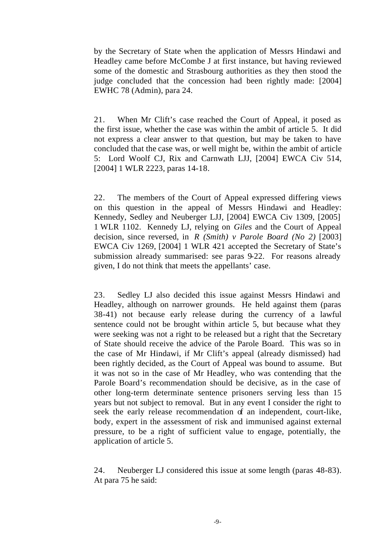by the Secretary of State when the application of Messrs Hindawi and Headley came before McCombe J at first instance, but having reviewed some of the domestic and Strasbourg authorities as they then stood the judge concluded that the concession had been rightly made: [2004] EWHC 78 (Admin), para 24.

21. When Mr Clift's case reached the Court of Appeal, it posed as the first issue, whether the case was within the ambit of article 5. It did not express a clear answer to that question, but may be taken to have concluded that the case was, or well might be, within the ambit of article 5: Lord Woolf CJ, Rix and Carnwath LJJ, [2004] EWCA Civ 514, [2004] 1 WLR 2223, paras 14-18.

22. The members of the Court of Appeal expressed differing views on this question in the appeal of Messrs Hindawi and Headley: Kennedy, Sedley and Neuberger LJJ, [2004] EWCA Civ 1309, [2005] 1 WLR 1102. Kennedy LJ, relying on *Giles* and the Court of Appeal decision, since reversed, in *R (Smith) v Parole Board (No 2)* [2003] EWCA Civ 1269, [2004] 1 WLR 421 accepted the Secretary of State's submission already summarised: see paras 9-22. For reasons already given, I do not think that meets the appellants' case.

23. Sedley LJ also decided this issue against Messrs Hindawi and Headley, although on narrower grounds. He held against them (paras 38-41) not because early release during the currency of a lawful sentence could not be brought within article 5, but because what they were seeking was not a right to be released but a right that the Secretary of State should receive the advice of the Parole Board. This was so in the case of Mr Hindawi, if Mr Clift's appeal (already dismissed) had been rightly decided, as the Court of Appeal was bound to assume. But it was not so in the case of Mr Headley, who was contending that the Parole Board's recommendation should be decisive, as in the case of other long-term determinate sentence prisoners serving less than 15 years but not subject to removal. But in any event I consider the right to seek the early release recommendation of an independent, court-like, body, expert in the assessment of risk and immunised against external pressure, to be a right of sufficient value to engage, potentially, the application of article 5.

24. Neuberger LJ considered this issue at some length (paras 48-83). At para 75 he said: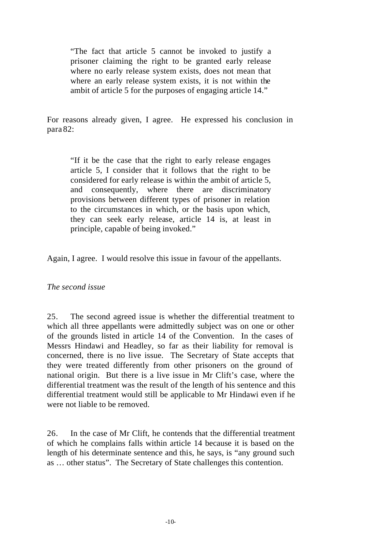"The fact that article 5 cannot be invoked to justify a prisoner claiming the right to be granted early release where no early release system exists, does not mean that where an early release system exists, it is not within the ambit of article 5 for the purposes of engaging article 14."

For reasons already given, I agree. He expressed his conclusion in para 82:

"If it be the case that the right to early release engages article 5, I consider that it follows that the right to be considered for early release is within the ambit of article 5, and consequently, where there are discriminatory provisions between different types of prisoner in relation to the circumstances in which, or the basis upon which, they can seek early release, article 14 is, at least in principle, capable of being invoked."

Again, I agree. I would resolve this issue in favour of the appellants.

## *The second issue*

25. The second agreed issue is whether the differential treatment to which all three appellants were admittedly subject was on one or other of the grounds listed in article 14 of the Convention. In the cases of Messrs Hindawi and Headley, so far as their liability for removal is concerned, there is no live issue. The Secretary of State accepts that they were treated differently from other prisoners on the ground of national origin. But there is a live issue in Mr Clift's case, where the differential treatment was the result of the length of his sentence and this differential treatment would still be applicable to Mr Hindawi even if he were not liable to be removed.

26. In the case of Mr Clift, he contends that the differential treatment of which he complains falls within article 14 because it is based on the length of his determinate sentence and this, he says, is "any ground such as … other status". The Secretary of State challenges this contention.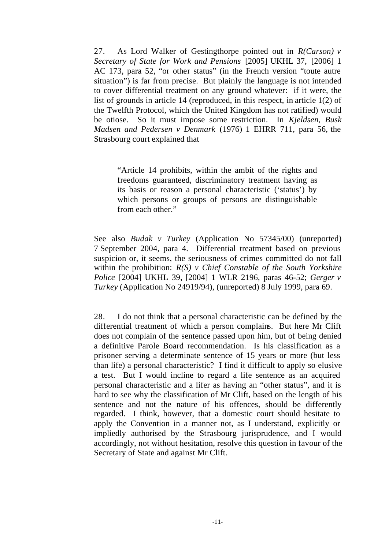27. As Lord Walker of Gestingthorpe pointed out in *R(Carson) v Secretary of State for Work and Pensions* [2005] UKHL 37, [2006] 1 AC 173, para 52, "or other status" (in the French version "toute autre situation") is far from precise. But plainly the language is not intended to cover differential treatment on any ground whatever: if it were, the list of grounds in article 14 (reproduced, in this respect, in article 1(2) of the Twelfth Protocol, which the United Kingdom has not ratified) would be otiose. So it must impose some restriction. In *Kjeldsen, Busk Madsen and Pedersen v Denmark* (1976) 1 EHRR 711, para 56, the Strasbourg court explained that

"Article 14 prohibits, within the ambit of the rights and freedoms guaranteed, discriminatory treatment having as its basis or reason a personal characteristic ('status') by which persons or groups of persons are distinguishable from each other."

See also *Budak v Turkey* (Application No 57345/00) (unreported) 7 September 2004, para 4. Differential treatment based on previous suspicion or, it seems, the seriousness of crimes committed do not fall within the prohibition: *R(S) v Chief Constable of the South Yorkshire Police* [2004] UKHL 39, [2004] 1 WLR 2196, paras 46-52; *Gerger v Turkey* (Application No 24919/94), (unreported) 8 July 1999, para 69.

28. I do not think that a personal characteristic can be defined by the differential treatment of which a person complains. But here Mr Clift does not complain of the sentence passed upon him, but of being denied a definitive Parole Board recommendation. Is his classification as a prisoner serving a determinate sentence of 15 years or more (but less than life) a personal characteristic? I find it difficult to apply so elusive a test. But I would incline to regard a life sentence as an acquired personal characteristic and a lifer as having an "other status", and it is hard to see why the classification of Mr Clift, based on the length of his sentence and not the nature of his offences, should be differently regarded. I think, however, that a domestic court should hesitate to apply the Convention in a manner not, as I understand, explicitly or impliedly authorised by the Strasbourg jurisprudence, and I would accordingly, not without hesitation, resolve this question in favour of the Secretary of State and against Mr Clift.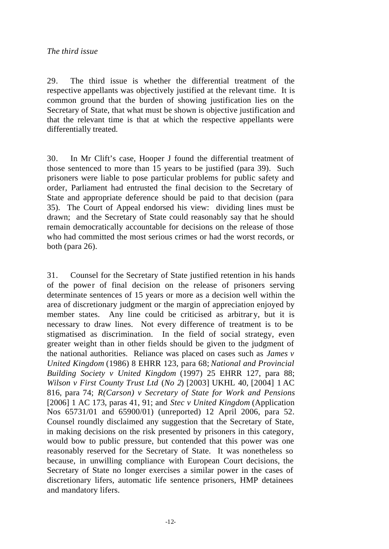29. The third issue is whether the differential treatment of the respective appellants was objectively justified at the relevant time. It is common ground that the burden of showing justification lies on the Secretary of State, that what must be shown is objective justification and that the relevant time is that at which the respective appellants were differentially treated.

30. In Mr Clift's case, Hooper J found the differential treatment of those sentenced to more than 15 years to be justified (para 39). Such prisoners were liable to pose particular problems for public safety and order, Parliament had entrusted the final decision to the Secretary of State and appropriate deference should be paid to that decision (para 35). The Court of Appeal endorsed his view: dividing lines must be drawn; and the Secretary of State could reasonably say that he should remain democratically accountable for decisions on the release of those who had committed the most serious crimes or had the worst records, or both (para 26).

31. Counsel for the Secretary of State justified retention in his hands of the power of final decision on the release of prisoners serving determinate sentences of 15 years or more as a decision well within the area of discretionary judgment or the margin of appreciation enjoyed by member states. Any line could be criticised as arbitrary, but it is necessary to draw lines. Not every difference of treatment is to be stigmatised as discrimination. In the field of social strategy, even greater weight than in other fields should be given to the judgment of the national authorities. Reliance was placed on cases such as *James v United Kingdom* (1986) 8 EHRR 123, para 68; *National and Provincial Building Society v United Kingdom* (1997) 25 EHRR 127, para 88; *Wilson v First County Trust Ltd* (*No 2*) [2003] UKHL 40, [2004] 1 AC 816, para 74; *R(Carson) v Secretary of State for Work and Pensions* [2006] 1 AC 173, paras 41, 91; and *Stec v United Kingdom* (Application Nos 65731/01 and 65900/01) (unreported) 12 April 2006, para 52. Counsel roundly disclaimed any suggestion that the Secretary of State, in making decisions on the risk presented by prisoners in this category, would bow to public pressure, but contended that this power was one reasonably reserved for the Secretary of State. It was nonetheless so because, in unwilling compliance with European Court decisions, the Secretary of State no longer exercises a similar power in the cases of discretionary lifers, automatic life sentence prisoners, HMP detainees and mandatory lifers.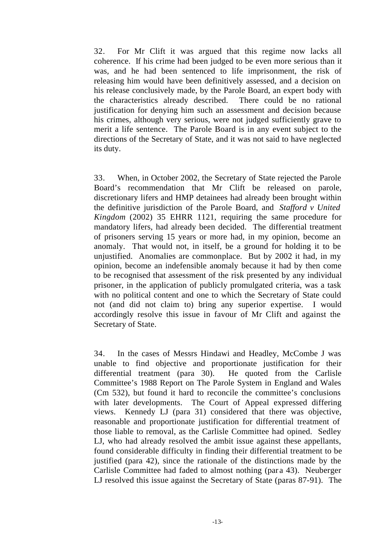32. For Mr Clift it was argued that this regime now lacks all coherence. If his crime had been judged to be even more serious than it was, and he had been sentenced to life imprisonment, the risk of releasing him would have been definitively assessed, and a decision on his release conclusively made, by the Parole Board, an expert body with the characteristics already described. There could be no rational justification for denying him such an assessment and decision because his crimes, although very serious, were not judged sufficiently grave to merit a life sentence. The Parole Board is in any event subject to the directions of the Secretary of State, and it was not said to have neglected its duty.

33. When, in October 2002, the Secretary of State rejected the Parole Board's recommendation that Mr Clift be released on parole, discretionary lifers and HMP detainees had already been brought within the definitive jurisdiction of the Parole Board, and *Stafford v United Kingdom* (2002) 35 EHRR 1121, requiring the same procedure for mandatory lifers, had already been decided. The differential treatment of prisoners serving 15 years or more had, in my opinion, become an anomaly. That would not, in itself, be a ground for holding it to be unjustified. Anomalies are commonplace. But by 2002 it had, in my opinion, become an indefensible anomaly because it had by then come to be recognised that assessment of the risk presented by any individual prisoner, in the application of publicly promulgated criteria, was a task with no political content and one to which the Secretary of State could not (and did not claim to) bring any superior expertise. I would accordingly resolve this issue in favour of Mr Clift and against the Secretary of State.

34. In the cases of Messrs Hindawi and Headley, McCombe J was unable to find objective and proportionate justification for their differential treatment (para 30). He quoted from the Carlisle Committee's 1988 Report on The Parole System in England and Wales (Cm 532), but found it hard to reconcile the committee's conclusions with later developments. The Court of Appeal expressed differing views. Kennedy LJ (para 31) considered that there was objective, reasonable and proportionate justification for differential treatment of those liable to removal, as the Carlisle Committee had opined. Sedley LJ, who had already resolved the ambit issue against these appellants, found considerable difficulty in finding their differential treatment to be justified (para 42), since the rationale of the distinctions made by the Carlisle Committee had faded to almost nothing (par a 43). Neuberger LJ resolved this issue against the Secretary of State (paras 87-91). The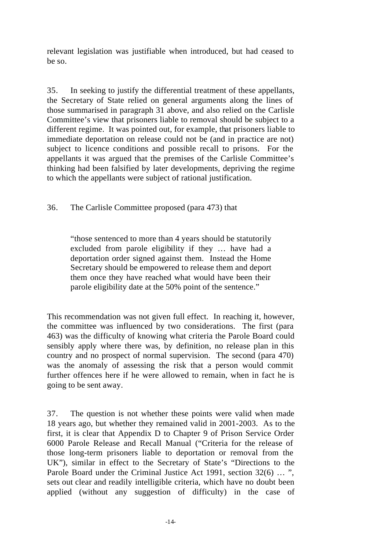relevant legislation was justifiable when introduced, but had ceased to be so.

35. In seeking to justify the differential treatment of these appellants, the Secretary of State relied on general arguments along the lines of those summarised in paragraph 31 above, and also relied on the Carlisle Committee's view that prisoners liable to removal should be subject to a different regime. It was pointed out, for example, that prisoners liable to immediate deportation on release could not be (and in practice are not) subject to licence conditions and possible recall to prisons. For the appellants it was argued that the premises of the Carlisle Committee's thinking had been falsified by later developments, depriving the regime to which the appellants were subject of rational justification.

36. The Carlisle Committee proposed (para 473) that

"those sentenced to more than 4 years should be statutorily excluded from parole eligibility if they … have had a deportation order signed against them. Instead the Home Secretary should be empowered to release them and deport them once they have reached what would have been their parole eligibility date at the 50% point of the sentence."

This recommendation was not given full effect. In reaching it, however, the committee was influenced by two considerations. The first (para 463) was the difficulty of knowing what criteria the Parole Board could sensibly apply where there was, by definition, no release plan in this country and no prospect of normal supervision. The second (para 470) was the anomaly of assessing the risk that a person would commit further offences here if he were allowed to remain, when in fact he is going to be sent away.

37. The question is not whether these points were valid when made 18 years ago, but whether they remained valid in 2001-2003. As to the first, it is clear that Appendix D to Chapter 9 of Prison Service Order 6000 Parole Release and Recall Manual ("Criteria for the release of those long-term prisoners liable to deportation or removal from the UK"), similar in effect to the Secretary of State's "Directions to the Parole Board under the Criminal Justice Act 1991, section 32(6) ... ", sets out clear and readily intelligible criteria, which have no doubt been applied (without any suggestion of difficulty) in the case of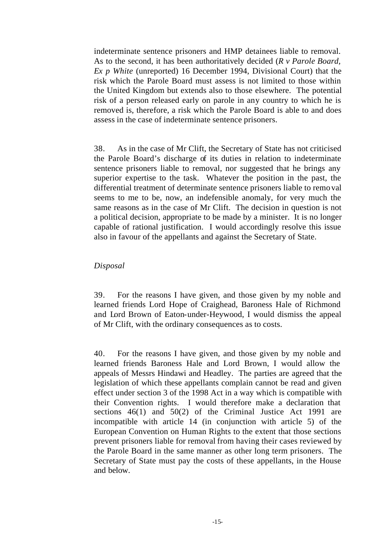indeterminate sentence prisoners and HMP detainees liable to removal. As to the second, it has been authoritatively decided (*R v Parole Board, Ex p White* (unreported) 16 December 1994, Divisional Court) that the risk which the Parole Board must assess is not limited to those within the United Kingdom but extends also to those elsewhere. The potential risk of a person released early on parole in any country to which he is removed is, therefore, a risk which the Parole Board is able to and does assess in the case of indeterminate sentence prisoners.

38. As in the case of Mr Clift, the Secretary of State has not criticised the Parole Board's discharge of its duties in relation to indeterminate sentence prisoners liable to removal, nor suggested that he brings any superior expertise to the task. Whatever the position in the past, the differential treatment of determinate sentence prisoners liable to remo val seems to me to be, now, an indefensible anomaly, for very much the same reasons as in the case of Mr Clift. The decision in question is not a political decision, appropriate to be made by a minister. It is no longer capable of rational justification. I would accordingly resolve this issue also in favour of the appellants and against the Secretary of State.

#### *Disposal*

39. For the reasons I have given, and those given by my noble and learned friends Lord Hope of Craighead, Baroness Hale of Richmond and Lord Brown of Eaton-under-Heywood, I would dismiss the appeal of Mr Clift, with the ordinary consequences as to costs.

40. For the reasons I have given, and those given by my noble and learned friends Baroness Hale and Lord Brown, I would allow the appeals of Messrs Hindawi and Headley. The parties are agreed that the legislation of which these appellants complain cannot be read and given effect under section 3 of the 1998 Act in a way which is compatible with their Convention rights. I would therefore make a declaration that sections 46(1) and 50(2) of the Criminal Justice Act 1991 are incompatible with article 14 (in conjunction with article 5) of the European Convention on Human Rights to the extent that those sections prevent prisoners liable for removal from having their cases reviewed by the Parole Board in the same manner as other long term prisoners. The Secretary of State must pay the costs of these appellants, in the House and below.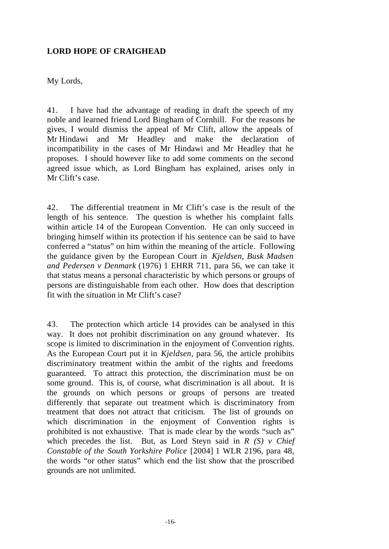## **LORD HOPE OF CRAIGHEAD**

My Lords,

41. I have had the advantage of reading in draft the speech of my noble and learned friend Lord Bingham of Cornhill. For the reasons he gives, I would dismiss the appeal of Mr Clift, allow the appeals of Mr Hindawi and Mr Headley and make the declaration of incompatibility in the cases of Mr Hindawi and Mr Headley that he proposes. I should however like to add some comments on the second agreed issue which, as Lord Bingham has explained, arises only in Mr Clift's case.

42. The differential treatment in Mr Clift's case is the result of the length of his sentence. The question is whether his complaint falls within article 14 of the European Convention. He can only succeed in bringing himself within its protection if his sentence can be said to have conferred a "status" on him within the meaning of the article. Following the guidance given by the European Court in *Kjeldsen, Busk Madsen and Pedersen v Denmark* (1976) 1 EHRR 711, para 56, we can take it that status means a personal characteristic by which persons or groups of persons are distinguishable from each other. How does that description fit with the situation in Mr Clift's case?

43. The protection which article 14 provides can be analysed in this way. It does not prohibit discrimination on any ground whatever. Its scope is limited to discrimination in the enjoyment of Convention rights. As the European Court put it in *Kjeldsen*, para 56, the article prohibits discriminatory treatment within the ambit of the rights and freedoms guaranteed. To attract this protection, the discrimination must be on some ground. This is, of course, what discrimination is all about. It is the grounds on which persons or groups of persons are treated differently that separate out treatment which is discriminatory from treatment that does not attract that criticism. The list of grounds on which discrimination in the enjoyment of Convention rights is prohibited is not exhaustive. That is made clear by the words "such as" which precedes the list. But, as Lord Steyn said in *R (S) v Chief Constable of the South Yorkshire Police* [2004] 1 WLR 2196, para 48, the words "or other status" which end the list show that the proscribed grounds are not unlimited.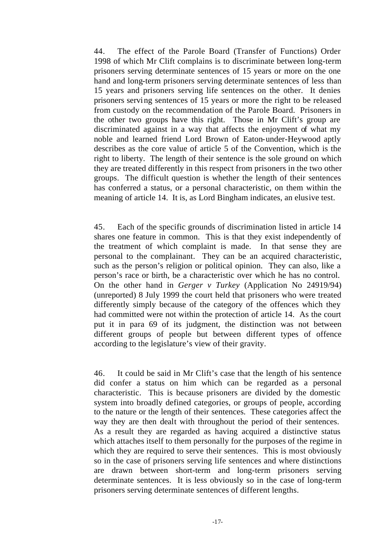44. The effect of the Parole Board (Transfer of Functions) Order 1998 of which Mr Clift complains is to discriminate between long-term prisoners serving determinate sentences of 15 years or more on the one hand and long-term prisoners serving determinate sentences of less than 15 years and prisoners serving life sentences on the other. It denies prisoners serving sentences of 15 years or more the right to be released from custody on the recommendation of the Parole Board. Prisoners in the other two groups have this right. Those in Mr Clift's group are discriminated against in a way that affects the enjoyment of what my noble and learned friend Lord Brown of Eaton-under-Heywood aptly describes as the core value of article 5 of the Convention, which is the right to liberty. The length of their sentence is the sole ground on which they are treated differently in this respect from prisoners in the two other groups. The difficult question is whether the length of their sentences has conferred a status, or a personal characteristic, on them within the meaning of article 14. It is, as Lord Bingham indicates, an elusive test.

45. Each of the specific grounds of discrimination listed in article 14 shares one feature in common. This is that they exist independently of the treatment of which complaint is made. In that sense they are personal to the complainant. They can be an acquired characteristic, such as the person's religion or political opinion. They can also, like a person's race or birth, be a characteristic over which he has no control. On the other hand in *Gerger v Turkey* (Application No 24919/94) (unreported) 8 July 1999 the court held that prisoners who were treated differently simply because of the category of the offences which they had committed were not within the protection of article 14. As the court put it in para 69 of its judgment, the distinction was not between different groups of people but between different types of offence according to the legislature's view of their gravity.

46. It could be said in Mr Clift's case that the length of his sentence did confer a status on him which can be regarded as a personal characteristic. This is because prisoners are divided by the domestic system into broadly defined categories, or groups of people, according to the nature or the length of their sentences. These categories affect the way they are then dealt with throughout the period of their sentences. As a result they are regarded as having acquired a distinctive status which attaches itself to them personally for the purposes of the regime in which they are required to serve their sentences. This is most obviously so in the case of prisoners serving life sentences and where distinctions are drawn between short-term and long-term prisoners serving determinate sentences. It is less obviously so in the case of long-term prisoners serving determinate sentences of different lengths.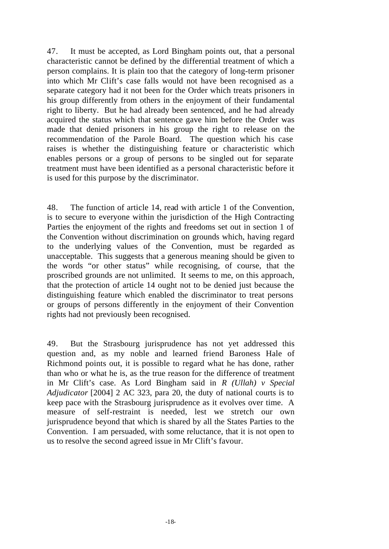47. It must be accepted, as Lord Bingham points out, that a personal characteristic cannot be defined by the differential treatment of which a person complains. It is plain too that the category of long-term prisoner into which Mr Clift's case falls would not have been recognised as a separate category had it not been for the Order which treats prisoners in his group differently from others in the enjoyment of their fundamental right to liberty. But he had already been sentenced, and he had already acquired the status which that sentence gave him before the Order was made that denied prisoners in his group the right to release on the recommendation of the Parole Board. The question which his case raises is whether the distinguishing feature or characteristic which enables persons or a group of persons to be singled out for separate treatment must have been identified as a personal characteristic before it is used for this purpose by the discriminator.

48. The function of article 14, read with article 1 of the Convention, is to secure to everyone within the jurisdiction of the High Contracting Parties the enjoyment of the rights and freedoms set out in section 1 of the Convention without discrimination on grounds which, having regard to the underlying values of the Convention, must be regarded as unacceptable. This suggests that a generous meaning should be given to the words "or other status" while recognising, of course, that the proscribed grounds are not unlimited. It seems to me, on this approach, that the protection of article 14 ought not to be denied just because the distinguishing feature which enabled the discriminator to treat persons or groups of persons differently in the enjoyment of their Convention rights had not previously been recognised.

49. But the Strasbourg jurisprudence has not yet addressed this question and, as my noble and learned friend Baroness Hale of Richmond points out, it is possible to regard what he has done, rather than who or what he is, as the true reason for the difference of treatment in Mr Clift's case. As Lord Bingham said in *R (Ullah) v Special Adjudicator* [2004] 2 AC 323, para 20, the duty of national courts is to keep pace with the Strasbourg jurisprudence as it evolves over time. A measure of self-restraint is needed, lest we stretch our own jurisprudence beyond that which is shared by all the States Parties to the Convention. I am persuaded, with some reluctance, that it is not open to us to resolve the second agreed issue in Mr Clift's favour.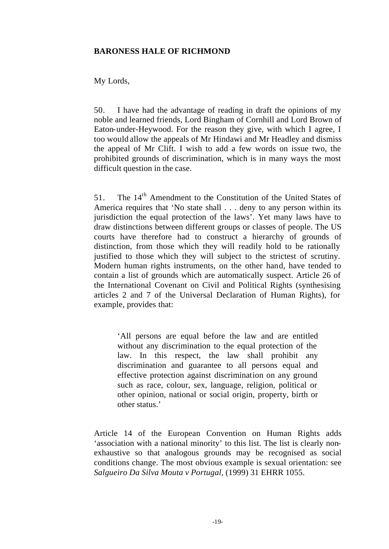## **BARONESS HALE OF RICHMOND**

## My Lords,

50. I have had the advantage of reading in draft the opinions of my noble and learned friends, Lord Bingham of Cornhill and Lord Brown of Eaton-under-Heywood. For the reason they give, with which I agree, I too would allow the appeals of Mr Hindawi and Mr Headley and dismiss the appeal of Mr Clift. I wish to add a few words on issue two, the prohibited grounds of discrimination, which is in many ways the most difficult question in the case.

51. The 14<sup>th</sup> Amendment to the Constitution of the United States of America requires that 'No state shall . . . deny to any person within its jurisdiction the equal protection of the laws'. Yet many laws have to draw distinctions between different groups or classes of people. The US courts have therefore had to construct a hierarchy of grounds of distinction, from those which they will readily hold to be rationally justified to those which they will subject to the strictest of scrutiny. Modern human rights instruments, on the other hand, have tended to contain a list of grounds which are automatically suspect. Article 26 of the International Covenant on Civil and Political Rights (synthesising articles 2 and 7 of the Universal Declaration of Human Rights), for example, provides that:

'All persons are equal before the law and are entitled without any discrimination to the equal protection of the law. In this respect, the law shall prohibit any discrimination and guarantee to all persons equal and effective protection against discrimination on any ground such as race, colour, sex, language, religion, political or other opinion, national or social origin, property, birth or other status.'

Article 14 of the European Convention on Human Rights adds 'association with a national minority' to this list. The list is clearly nonexhaustive so that analogous grounds may be recognised as social conditions change. The most obvious example is sexual orientation: see *Salgueiro Da Silva Mouta v Portugal,* (1999) 31 EHRR 1055.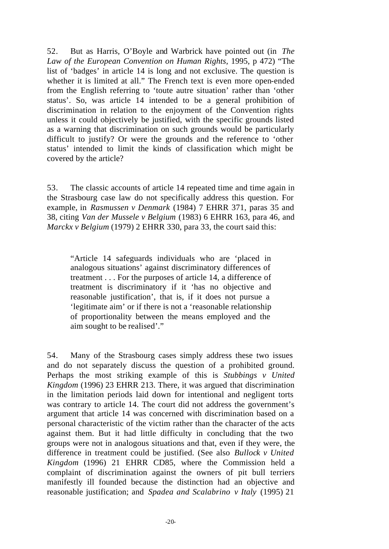52. But as Harris, O'Boyle and Warbrick have pointed out (in *The Law of the European Convention on Human Rights*, 1995, p 472) "The list of 'badges' in article 14 is long and not exclusive. The question is whether it is limited at all." The French text is even more open-ended from the English referring to 'toute autre situation' rather than 'other status'. So, was article 14 intended to be a general prohibition of discrimination in relation to the enjoyment of the Convention rights unless it could objectively be justified, with the specific grounds listed as a warning that discrimination on such grounds would be particularly difficult to justify? Or were the grounds and the reference to 'other status' intended to limit the kinds of classification which might be covered by the article?

53. The classic accounts of article 14 repeated time and time again in the Strasbourg case law do not specifically address this question. For example, in *Rasmussen v Denmark* (1984) 7 EHRR 371, paras 35 and 38, citing *Van der Mussele v Belgium* (1983) 6 EHRR 163, para 46, and *Marckx v Belgium* (1979) 2 EHRR 330, para 33, the court said this:

"Article 14 safeguards individuals who are 'placed in analogous situations' against discriminatory differences of treatment . . . For the purposes of article 14, a difference of treatment is discriminatory if it 'has no objective and reasonable justification', that is, if it does not pursue a 'legitimate aim' or if there is not a 'reasonable relationship of proportionality between the means employed and the aim sought to be realised'."

54. Many of the Strasbourg cases simply address these two issues and do not separately discuss the question of a prohibited ground. Perhaps the most striking example of this is *Stubbings v United Kingdom* (1996) 23 EHRR 213. There, it was argued that discrimination in the limitation periods laid down for intentional and negligent torts was contrary to article 14. The court did not address the government's argument that article 14 was concerned with discrimination based on a personal characteristic of the victim rather than the character of the acts against them. But it had little difficulty in concluding that the two groups were not in analogous situations and that, even if they were, the difference in treatment could be justified. (See also *Bullock v United Kingdom* (1996) 21 EHRR CD85, where the Commission held a complaint of discrimination against the owners of pit bull terriers manifestly ill founded because the distinction had an objective and reasonable justification; and *Spadea and Scalabrino v Italy* (1995) 21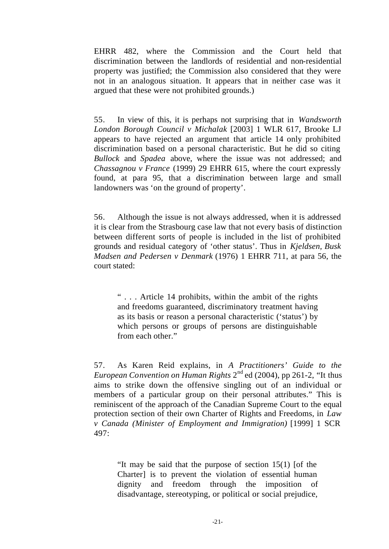EHRR 482, where the Commission and the Court held that discrimination between the landlords of residential and non-residential property was justified; the Commission also considered that they were not in an analogous situation. It appears that in neither case was it argued that these were not prohibited grounds.)

55. In view of this, it is perhaps not surprising that in *Wandsworth London Borough Council v Michalak* [2003] 1 WLR 617, Brooke LJ appears to have rejected an argument that article 14 only prohibited discrimination based on a personal characteristic. But he did so citing *Bullock* and *Spadea* above, where the issue was not addressed; and *Chassagnou v France* (1999) 29 EHRR 615, where the court expressly found, at para 95, that a discrimination between large and small landowners was 'on the ground of property'.

56. Although the issue is not always addressed, when it is addressed it is clear from the Strasbourg case law that not every basis of distinction between different sorts of people is included in the list of prohibited grounds and residual category of 'other status'. Thus in *Kjeldsen, Busk Madsen and Pedersen v Denmark* (1976) 1 EHRR 711, at para 56, the court stated:

" . . . Article 14 prohibits, within the ambit of the rights and freedoms guaranteed, discriminatory treatment having as its basis or reason a personal characteristic ('status') by which persons or groups of persons are distinguishable from each other."

57. As Karen Reid explains, in *A Practitioners' Guide to the European Convention on Human Rights*  $2^{nd}$  ed (2004), pp 261-2, "It thus aims to strike down the offensive singling out of an individual or members of a particular group on their personal attributes." This is reminiscent of the approach of the Canadian Supreme Court to the equal protection section of their own Charter of Rights and Freedoms, in *Law v Canada (Minister of Employment and Immigration)* [1999] 1 SCR 497:

"It may be said that the purpose of section 15(1) [of the Charter] is to prevent the violation of essential human dignity and freedom through the imposition of disadvantage, stereotyping, or political or social prejudice,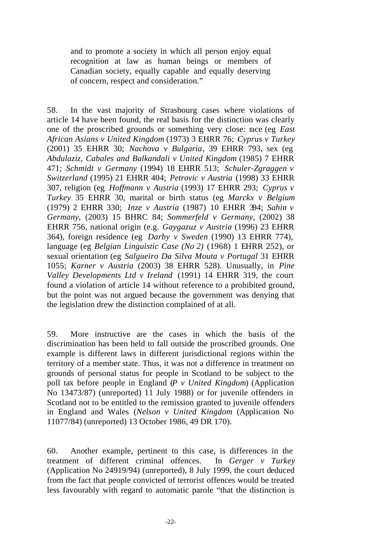and to promote a society in which all person enjoy equal recognition at law as human beings or members of Canadian society, equally capable and equally deserving of concern, respect and consideration."

58. In the vast majority of Strasbourg cases where violations of article 14 have been found, the real basis for the distinction was clearly one of the proscribed grounds or something very close: race (eg *East African Asians v United Kingdom* (1973) 3 EHRR 76; *Cyprus v Turkey* (2001) 35 EHRR 30; *Nachova v Bulgaria*, 39 EHRR 793, sex (eg *Abdulaziz, Cabales and Balkandali v United Kingdom* (1985) 7 EHRR 471; *Schmidt v Germany* (1994) 18 EHRR 513; *Schuler-Zgraggen v Switzerland* (1995) 21 EHRR 404; *Petrovic v Austria* (1998) 33 EHRR 307, religion (eg *Hoffmann v Austria* (1993) 17 EHRR 293; *Cyprus v Turkey* 35 EHRR 30, marital or birth status (eg *Marckx v Belgium* (1979) 2 EHRR 330; *Inze v Austria* (1987) 10 EHRR 394; *Sahin v Germany*, (2003) 15 BHRC 84; *Sommerfeld v Germany*, (2002) 38 EHRR 756, national origin (e.g. *Gaygazuz v Austria* (1996) 23 EHRR 364), foreign residence (eg *Darby v Sweden* (1990) 13 EHRR 774), language (eg *Belgian Linguistic Case (No 2)* (1968) 1 EHRR 252), or sexual orientation (eg *Salgueiro Da Silva Mouta v Portugal* 31 EHRR 1055; *Karner v Austria* (2003) 38 EHRR 528). Unusually, in *Pine Valley Developments Ltd v Ireland* (1991) 14 EHRR 319, the court found a violation of article 14 without reference to a prohibited ground, but the point was not argued because the government was denying that the legislation drew the distinction complained of at all.

59. More instructive are the cases in which the basis of the discrimination has been held to fall outside the proscribed grounds. One example is different laws in different jurisdictional regions within the territory of a member state. Thus, it was not a difference in treatment on grounds of personal status for people in Scotland to be subject to the poll tax before people in England (*P v United Kingdom*) (Application No 13473/87) (unreported) 11 July 1988) or for juvenile offenders in Scotland not to be entitled to the remission granted to juvenile offenders in England and Wales (*Nelson v United Kingdom* (Application No 11077/84) (unreported) 13 October 1986, 49 DR 170).

60. Another example, pertinent to this case, is differences in the treatment of different criminal offences. In *Gerger v Turkey* (Application No 24919/94) (unreported), 8 July 1999, the court deduced from the fact that people convicted of terrorist offences would be treated less favourably with regard to automatic parole "that the distinction is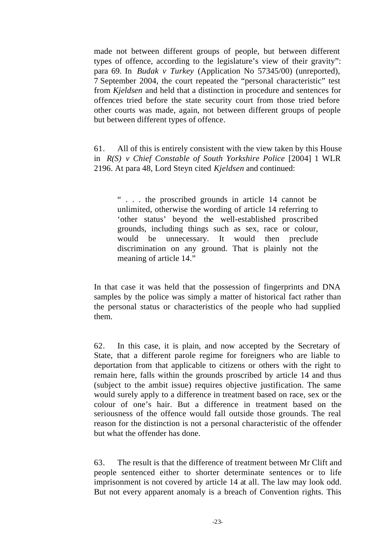made not between different groups of people, but between different types of offence, according to the legislature's view of their gravity": para 69. In *Budak v Turkey* (Application No 57345/00) (unreported), 7 September 2004, the court repeated the "personal characteristic" test from *Kjeldsen* and held that a distinction in procedure and sentences for offences tried before the state security court from those tried before other courts was made, again, not between different groups of people but between different types of offence.

61. All of this is entirely consistent with the view taken by this House in *R(S) v Chief Constable of South Yorkshire Police* [2004] 1 WLR 2196. At para 48, Lord Steyn cited *Kjeldsen* and continued:

" . . . the proscribed grounds in article 14 cannot be unlimited, otherwise the wording of article 14 referring to 'other status' beyond the well-established proscribed grounds, including things such as sex, race or colour, would be unnecessary. It would then preclude discrimination on any ground. That is plainly not the meaning of article 14."

In that case it was held that the possession of fingerprints and DNA samples by the police was simply a matter of historical fact rather than the personal status or characteristics of the people who had supplied them.

62. In this case, it is plain, and now accepted by the Secretary of State, that a different parole regime for foreigners who are liable to deportation from that applicable to citizens or others with the right to remain here, falls within the grounds proscribed by article 14 and thus (subject to the ambit issue) requires objective justification. The same would surely apply to a difference in treatment based on race, sex or the colour of one's hair. But a difference in treatment based on the seriousness of the offence would fall outside those grounds. The real reason for the distinction is not a personal characteristic of the offender but what the offender has done.

63. The result is that the difference of treatment between Mr Clift and people sentenced either to shorter determinate sentences or to life imprisonment is not covered by article 14 at all. The law may look odd. But not every apparent anomaly is a breach of Convention rights. This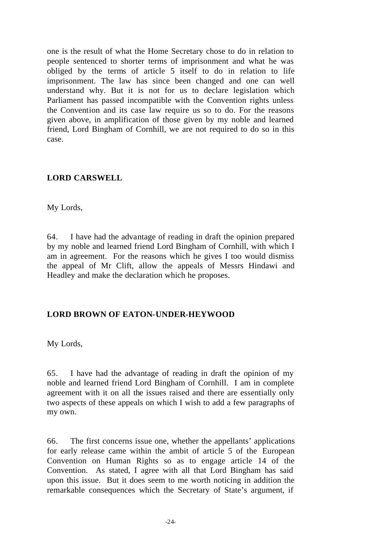one is the result of what the Home Secretary chose to do in relation to people sentenced to shorter terms of imprisonment and what he was obliged by the terms of article 5 itself to do in relation to life imprisonment. The law has since been changed and one can well understand why. But it is not for us to declare legislation which Parliament has passed incompatible with the Convention rights unless the Convention and its case law require us so to do. For the reasons given above, in amplification of those given by my noble and learned friend, Lord Bingham of Cornhill, we are not required to do so in this case.

## **LORD CARSWELL**

My Lords,

64. I have had the advantage of reading in draft the opinion prepared by my noble and learned friend Lord Bingham of Cornhill, with which I am in agreement. For the reasons which he gives I too would dismiss the appeal of Mr Clift, allow the appeals of Messrs Hindawi and Headley and make the declaration which he proposes.

## **LORD BROWN OF EATON-UNDER-HEYWOOD**

My Lords,

65. I have had the advantage of reading in draft the opinion of my noble and learned friend Lord Bingham of Cornhill. I am in complete agreement with it on all the issues raised and there are essentially only two aspects of these appeals on which I wish to add a few paragraphs of my own.

66. The first concerns issue one, whether the appellants' applications for early release came within the ambit of article 5 of the European Convention on Human Rights so as to engage article 14 of the Convention. As stated, I agree with all that Lord Bingham has said upon this issue. But it does seem to me worth noticing in addition the remarkable consequences which the Secretary of State's argument, if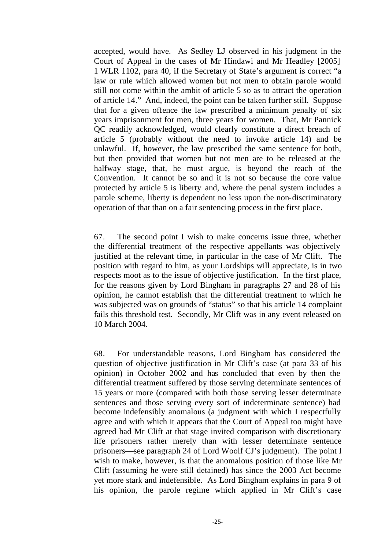accepted, would have. As Sedley LJ observed in his judgment in the Court of Appeal in the cases of Mr Hindawi and Mr Headley [2005] 1 WLR 1102, para 40, if the Secretary of State's argument is correct "a law or rule which allowed women but not men to obtain parole would still not come within the ambit of article 5 so as to attract the operation of article 14." And, indeed, the point can be taken further still. Suppose that for a given offence the law prescribed a minimum penalty of six years imprisonment for men, three years for women. That, Mr Pannick QC readily acknowledged, would clearly constitute a direct breach of article 5 (probably without the need to invoke article 14) and be unlawful. If, however, the law prescribed the same sentence for both, but then provided that women but not men are to be released at the halfway stage, that, he must argue, is beyond the reach of the Convention. It cannot be so and it is not so because the core value protected by article 5 is liberty and, where the penal system includes a parole scheme, liberty is dependent no less upon the non-discriminatory operation of that than on a fair sentencing process in the first place.

67. The second point I wish to make concerns issue three, whether the differential treatment of the respective appellants was objectively justified at the relevant time, in particular in the case of Mr Clift. The position with regard to him, as your Lordships will appreciate, is in two respects moot as to the issue of objective justification. In the first place, for the reasons given by Lord Bingham in paragraphs 27 and 28 of his opinion, he cannot establish that the differential treatment to which he was subjected was on grounds of "status" so that his article 14 complaint fails this threshold test. Secondly, Mr Clift was in any event released on 10 March 2004.

68. For understandable reasons, Lord Bingham has considered the question of objective justification in Mr Clift's case (at para 33 of his opinion) in October 2002 and has concluded that even by then the differential treatment suffered by those serving determinate sentences of 15 years or more (compared with both those serving lesser determinate sentences and those serving every sort of indeterminate sentence) had become indefensibly anomalous (a judgment with which I respectfully agree and with which it appears that the Court of Appeal too might have agreed had Mr Clift at that stage invited comparison with discretionary life prisoners rather merely than with lesser determinate sentence prisoners—see paragraph 24 of Lord Woolf CJ's judgment). The point I wish to make, however, is that the anomalous position of those like Mr Clift (assuming he were still detained) has since the 2003 Act become yet more stark and indefensible. As Lord Bingham explains in para 9 of his opinion, the parole regime which applied in Mr Clift's case